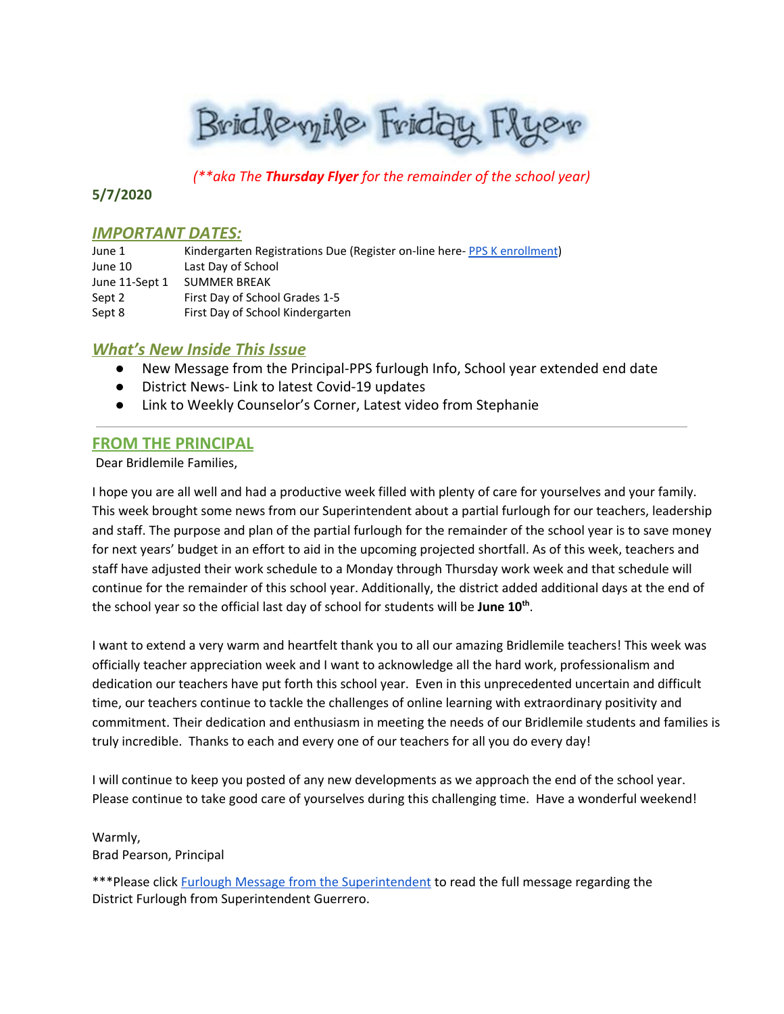Brid levyile Friday Flyer

*(\*\*aka The Thursday Flyer for the remainder of the school year)*

# **5/7/2020**

### **IMPORTANT DATES:**

| June 1         | Kindergarten Registrations Due (Register on-line here- PPS K enrollment) |
|----------------|--------------------------------------------------------------------------|
| June 10        | Last Day of School                                                       |
| June 11-Sept 1 | <b>SUMMER BREAK</b>                                                      |
| Sept 2         | First Day of School Grades 1-5                                           |
| Sept 8         | First Day of School Kindergarten                                         |

# *What's New Inside This Issue*

- New Message from the Principal-PPS furlough Info, School year extended end date
- District News- Link to latest Covid-19 updates
- Link to Weekly Counselor's Corner, Latest video from Stephanie

# **FROM THE PRINCIPAL**

Dear Bridlemile Families,

I hope you are all well and had a productive week filled with plenty of care for yourselves and your family. This week brought some news from our Superintendent about a partial furlough for our teachers, leadership and staff. The purpose and plan of the partial furlough for the remainder of the school year is to save money for next years' budget in an effort to aid in the upcoming projected shortfall. As of this week, teachers and staff have adjusted their work schedule to a Monday through Thursday work week and that schedule will continue for the remainder of this school year. Additionally, the district added additional days at the end of the school year so the official last day of school for students will be **June 10 th** .

I want to extend a very warm and heartfelt thank you to all our amazing Bridlemile teachers! This week was officially teacher appreciation week and I want to acknowledge all the hard work, professionalism and dedication our teachers have put forth this school year. Even in this unprecedented uncertain and difficult time, our teachers continue to tackle the challenges of online learning with extraordinary positivity and commitment. Their dedication and enthusiasm in meeting the needs of our Bridlemile students and families is truly incredible. Thanks to each and every one of our teachers for all you do every day!

I will continue to keep you posted of any new developments as we approach the end of the school year. Please continue to take good care of yourselves during this challenging time. Have a wonderful weekend!

Warmly, Brad Pearson, Principal

\*\*\*Please click Furlough Message from the [Superintendent](https://www.pps.net/site/default.aspx?PageType=3&DomainID=4&ModuleInstanceID=1492&PageModuleInstanceID=1594&ViewID=ad4d6d9d-7046-48e7-a548-a6a23a68d076&RenderLoc=0&FlexDataID=153806&PageID=1&IsMoreExpandedView=True) to read the full message regarding the District Furlough from Superintendent Guerrero.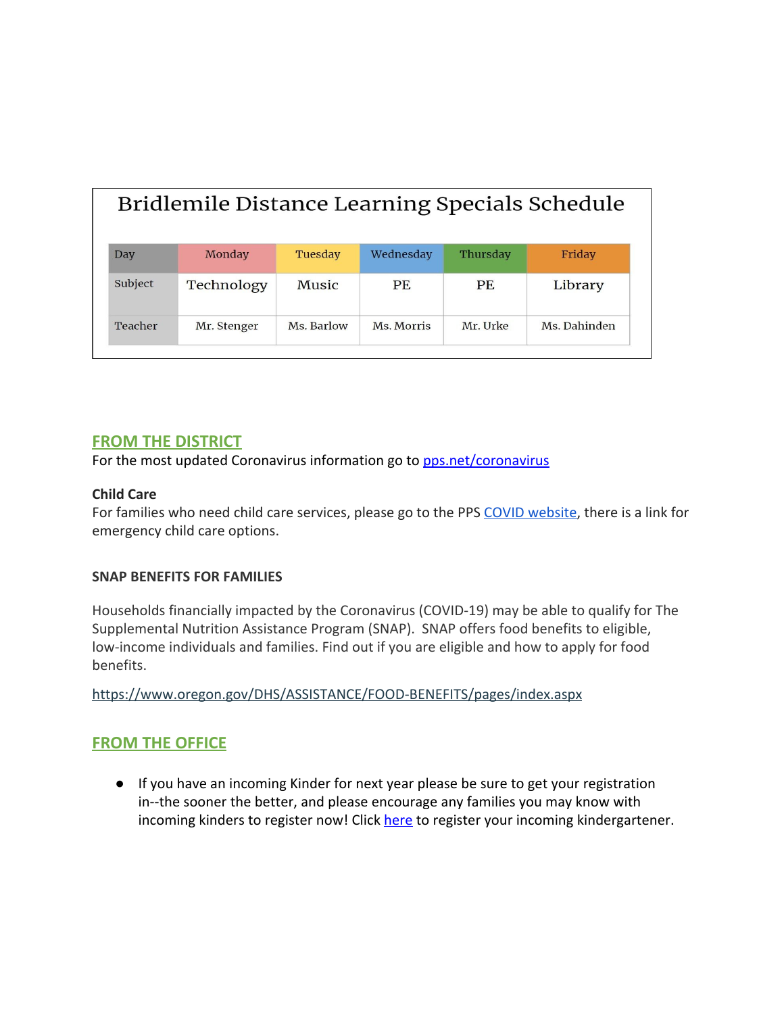| Bridlemile Distance Learning Specials Schedule |             |            |            |          |              |  |  |
|------------------------------------------------|-------------|------------|------------|----------|--------------|--|--|
| Day                                            | Monday      | Tuesday    | Wednesday  | Thursday | Friday       |  |  |
| Subject                                        | Technology  | Music      | PF.        | PF.      | Library      |  |  |
| Teacher                                        | Mr. Stenger | Ms. Barlow | Ms. Morris | Mr. Urke | Ms. Dahinden |  |  |

# **FROM THE DISTRICT**

For the most updated Coronavirus information go to [pps.net/coronavirus](http://track.spe.schoolmessenger.com/f/a/oZfGYFGWlPSuz04Ea4-9gA~~/AAAAAQA~/RgRgZlDRP0QfaHR0cHM6Ly93d3cucHBzLm5ldC9jb3JvbmF2aXJ1c1cHc2Nob29sbUIKAABRHYVennNdt1IURnJlY2tsZTFAY29tY2FzdC5uZXRYBAAAAAE~)

### **Child Care**

For families who need child care services, please go to the PPS [COVID website,](https://www.pps.net/coronavirus) there is a link for emergency child care options.

### **SNAP BENEFITS FOR FAMILIES**

Households financially impacted by the Coronavirus (COVID-19) may be able to qualify for The Supplemental Nutrition Assistance Program (SNAP). SNAP offers food benefits to eligible, low-income individuals and families. Find out if you are eligible and how to apply for food benefits.

<https://www.oregon.gov/DHS/ASSISTANCE/FOOD-BENEFITS/pages/index.aspx>

# **FROM THE OFFICE**

● If you have an incoming Kinder for next year please be sure to get your registration in--the sooner the better, and please encourage any families you may know with incoming kinders to register now! Click [here](https://www.pps.net/Page/2899) to register your incoming kindergartener.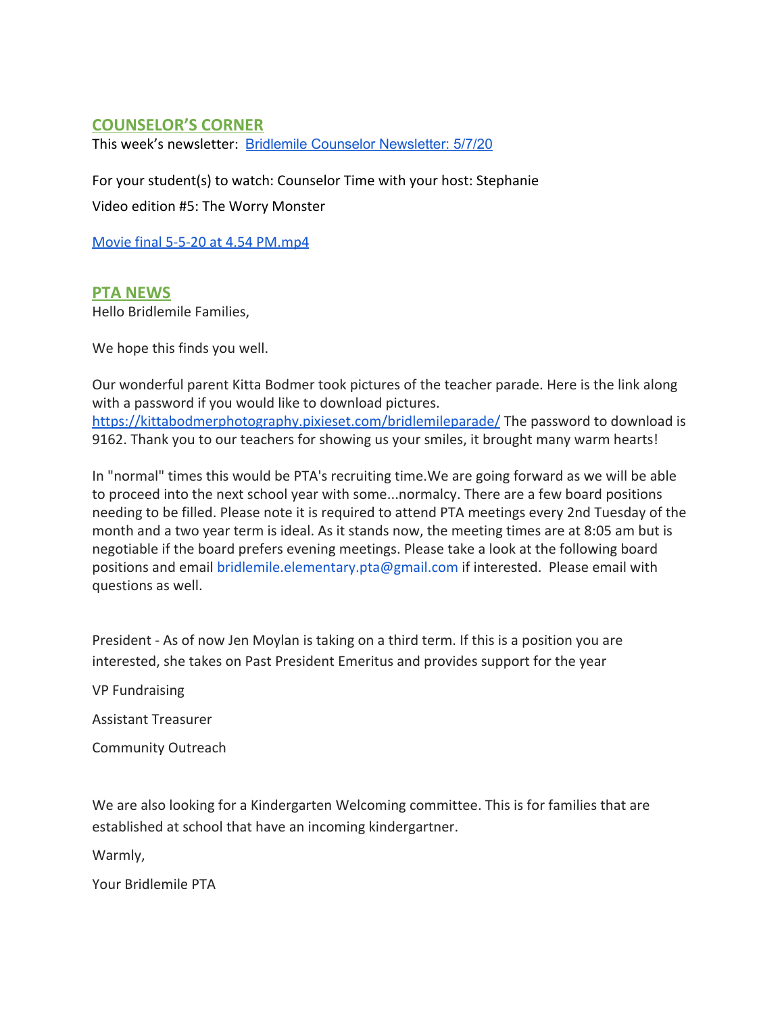# **COUNSELOR'S CORNER**

This week's newsletter: Bridlemile Counselor [Newsletter:](https://docs.google.com/document/d/109OVLr6yqqerK-71ysB_MnLKtXGMIZhu2bGEyPBhA10/edit?usp=sharing) 5/7/20

For your student(s) to watch: Counselor Time with your host: Stephanie

Video edition #5: The Worry Monster

[Movie final 5-5-20 at 4.54 PM.mp4](https://drive.google.com/a/pps.net/file/d/1Xn-jJByyGFO9yM1-3kGbMWEqX1gFSk1C/view?usp=drive_web)

### **PTA NEWS**

Hello Bridlemile Families,

We hope this finds you well.

Our wonderful parent Kitta Bodmer took pictures of the teacher parade. Here is the link along with a password if you would like to download pictures. <https://kittabodmerphotography.pixieset.com/bridlemileparade/>The password to download is 9162. Thank you to our teachers for showing us your smiles, it brought many warm hearts!

In "normal" times this would be PTA's recruiting time.We are going forward as we will be able to proceed into the next school year with some...normalcy. There are a few board positions needing to be filled. Please note it is required to attend PTA meetings every 2nd Tuesday of the month and a two year term is ideal. As it stands now, the meeting times are at 8:05 am but is negotiable if the board prefers evening meetings. Please take a look at the following board positions and email bridlemile.elementary.pta@gmail.com if interested. Please email with questions as well.

President - As of now Jen Moylan is taking on a third term. If this is a position you are interested, she takes on Past President Emeritus and provides support for the year

VP Fundraising

Assistant Treasurer

Community Outreach

We are also looking for a Kindergarten Welcoming committee. This is for families that are established at school that have an incoming kindergartner.

Warmly,

Your Bridlemile PTA